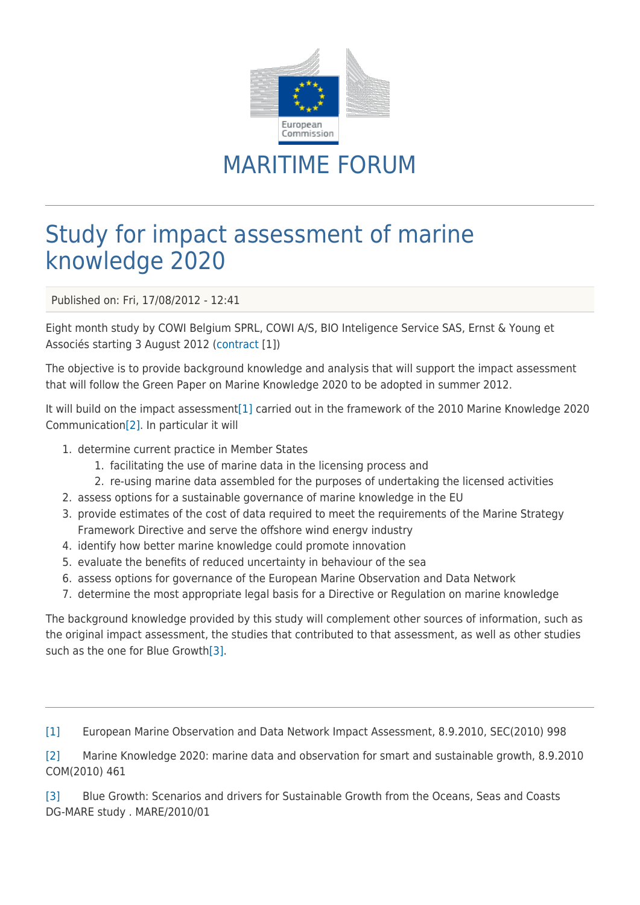

## MARITIME FORUM

## Study for impact assessment of marine knowledge 2020

Published on: Fri, 17/08/2012 - 12:41

Eight month study by COWI Belgium SPRL, COWI A/S, BIO Inteligence Service SAS, Ernst & Young et Associés starting 3 August 2012 ([contract](https://webgate.ec.europa.eu/maritimeforum/system/files/cowi_contract.pdf) [1])

The objective is to provide background knowledge and analysis that will support the impact assessment that will follow the Green Paper on Marine Knowledge 2020 to be adopted in summer 2012.

It will build on the impact assessment[\[1\]](#page--1-0) carried out in the framework of the 2010 Marine Knowledge 2020 Communication[\[2\]](#page--1-0). In particular it will

- 1. determine current practice in Member States
	- 1. facilitating the use of marine data in the licensing process and
	- 2. re-using marine data assembled for the purposes of undertaking the licensed activities
- 2. assess options for a sustainable governance of marine knowledge in the EU
- 3. provide estimates of the cost of data required to meet the requirements of the Marine Strategy Framework Directive and serve the offshore wind energv industry
- 4. identify how better marine knowledge could promote innovation
- 5. evaluate the benefits of reduced uncertainty in behaviour of the sea
- 6. assess options for governance of the European Marine Observation and Data Network
- 7. determine the most appropriate legal basis for a Directive or Regulation on marine knowledge

The background knowledge provided by this study will complement other sources of information, such as the original impact assessment, the studies that contributed to that assessment, as well as other studies such as the one for Blue Growth[\[3\]](#page--1-0).

[\[1\]](#page--1-0) European Marine Observation and Data Network Impact Assessment, 8.9.2010, SEC(2010) 998

[\[2\]](#page--1-0) Marine Knowledge 2020: marine data and observation for smart and sustainable growth, 8.9.2010 COM(2010) 461

[\[3\]](#page--1-0) Blue Growth: Scenarios and drivers for Sustainable Growth from the Oceans, Seas and Coasts DG‑MARE study . MARE/2010/01